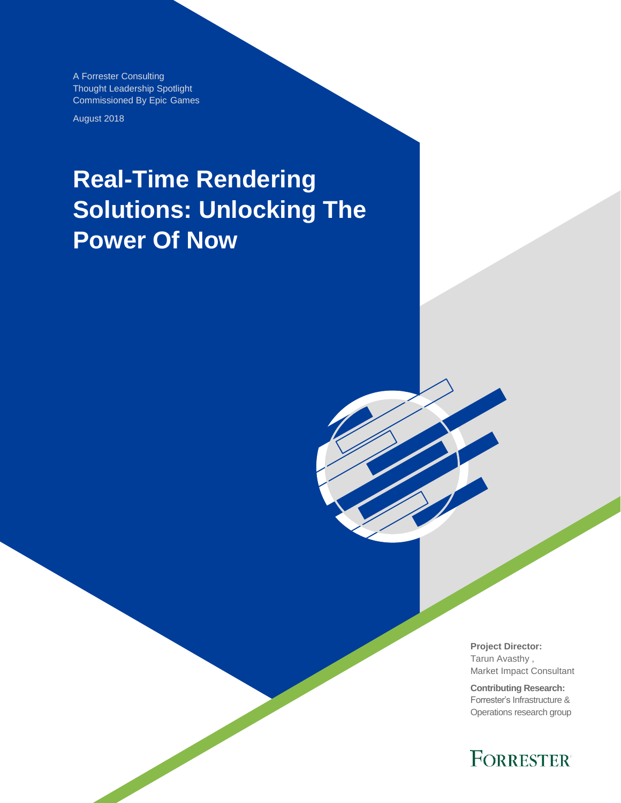A Forrester Consulting Thought Leadership Spotlight Commissioned By Epic Games

August 2018

# **Real-Time Rendering Solutions: Unlocking The Power Of Now**

**Project Director:** Tarun Avasthy , Market Impact Consultant

**Contributing Research:**  Forrester's Infrastructure & Operations research group

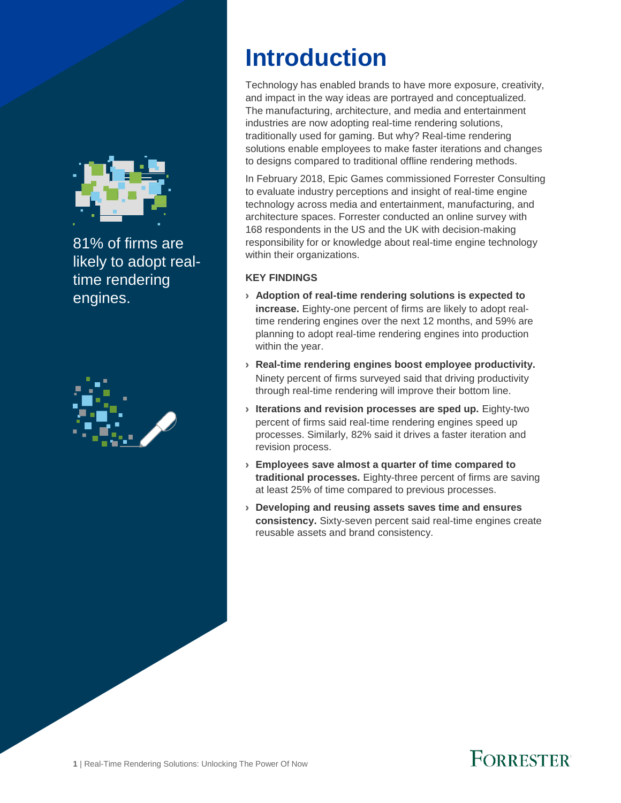

81% of firms are likely to adopt realtime rendering engines.



## **Introduction**

Technology has enabled brands to have more exposure, creativity, and impact in the way ideas are portrayed and conceptualized. The manufacturing, architecture, and media and entertainment industries are now adopting real-time rendering solutions, traditionally used for gaming. But why? Real-time rendering solutions enable employees to make faster iterations and changes to designs compared to traditional offline rendering methods.

In February 2018, Epic Games commissioned Forrester Consulting to evaluate industry perceptions and insight of real-time engine technology across media and entertainment, manufacturing, and architecture spaces. Forrester conducted an online survey with 168 respondents in the US and the UK with decision-making responsibility for or knowledge about real-time engine technology within their organizations.

#### **KEY FINDINGS**

- › **Adoption of real-time rendering solutions is expected to increase.** Eighty-one percent of firms are likely to adopt realtime rendering engines over the next 12 months, and 59% are planning to adopt real-time rendering engines into production within the year.
- › **Real-time rendering engines boost employee productivity.**  Ninety percent of firms surveyed said that driving productivity through real-time rendering will improve their bottom line.
- › **Iterations and revision processes are sped up.** Eighty-two percent of firms said real-time rendering engines speed up processes. Similarly, 82% said it drives a faster iteration and revision process.
- › **Employees save almost a quarter of time compared to traditional processes.** Eighty-three percent of firms are saving at least 25% of time compared to previous processes.
- › **Developing and reusing assets saves time and ensures consistency.** Sixty-seven percent said real-time engines create reusable assets and brand consistency.

## **FORRESTER**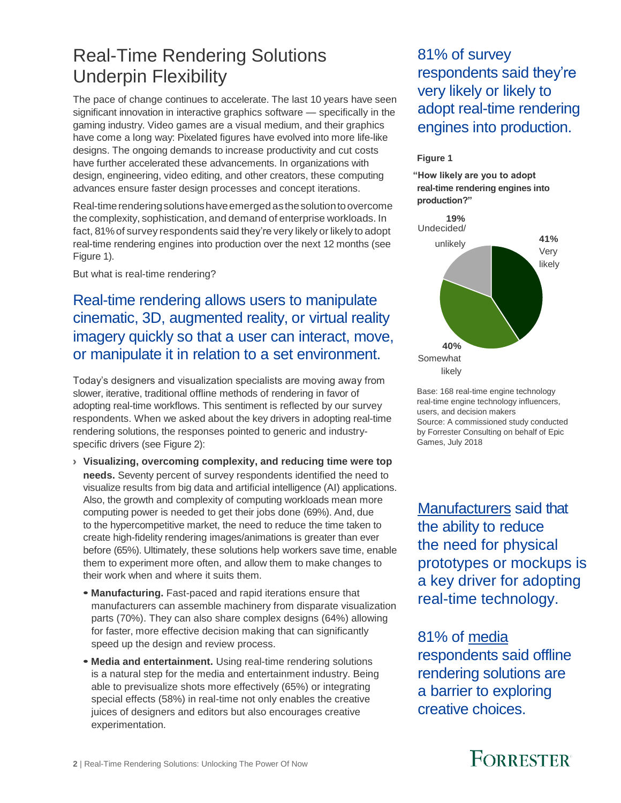### Real-Time Rendering Solutions Underpin Flexibility

The pace of change continues to accelerate. The last 10 years have seen significant innovation in interactive graphics software — specifically in the gaming industry. Video games are a visual medium, and their graphics have come a long way: Pixelated figures have evolved into more life-like designs. The ongoing demands to increase productivity and cut costs have further accelerated these advancements. In organizations with design, engineering, video editing, and other creators, these computing advances ensure faster design processes and concept iterations.

Real-time rendering solutions have emerged as the solution to overcome the complexity, sophistication, and demand of enterprise workloads. In fact, 81%of survey respondents said they're very likely or likely to adopt real-time rendering engines into production over the next 12 months (see Figure 1).

But what is real-time rendering?

#### Real-time rendering allows users to manipulate cinematic, 3D, augmented reality, or virtual reality imagery quickly so that a user can interact, move, or manipulate it in relation to a set environment.

Today's designers and visualization specialists are moving away from slower, iterative, traditional offline methods of rendering in favor of adopting real-time workflows. This sentiment is reflected by our survey respondents. When we asked about the key drivers in adopting real-time rendering solutions, the responses pointed to generic and industryspecific drivers (see Figure 2):

- › **Visualizing, overcoming complexity, and reducing time were top needs.** Seventy percent of survey respondents identified the need to visualize results from big data and artificial intelligence (AI) applications. Also, the growth and complexity of computing workloads mean more computing power is needed to get their jobs done (69%). And, due to the hypercompetitive market, the need to reduce the time taken to create high-fidelity rendering images/animations is greater than ever before (65%). Ultimately, these solutions help workers save time, enable them to experiment more often, and allow them to make changes to their work when and where it suits them.
	- **• Manufacturing.** Fast-paced and rapid iterations ensure that manufacturers can assemble machinery from disparate visualization parts (70%). They can also share complex designs (64%) allowing for faster, more effective decision making that can significantly speed up the design and review process.
	- **• Media and entertainment.** Using real-time rendering solutions is a natural step for the media and entertainment industry. Being able to previsualize shots more effectively (65%) or integrating special effects (58%) in real-time not only enables the creative juices of designers and editors but also encourages creative experimentation.

81% of survey respondents said they're very likely or likely to adopt real-time rendering engines into production.

#### **Figure 1**

**"How likely are you to adopt real-time rendering engines into production?"**



Base: 168 real-time engine technology real-time engine technology influencers, users, and decision makers Source: A commissioned study conducted by Forrester Consulting on behalf of Epic Games, July 2018

Manufacturers said that the ability to reduce the need for physical prototypes or mockups is a key driver for adopting real-time technology.

81% of media respondents said offline rendering solutions are a barrier to exploring creative choices.

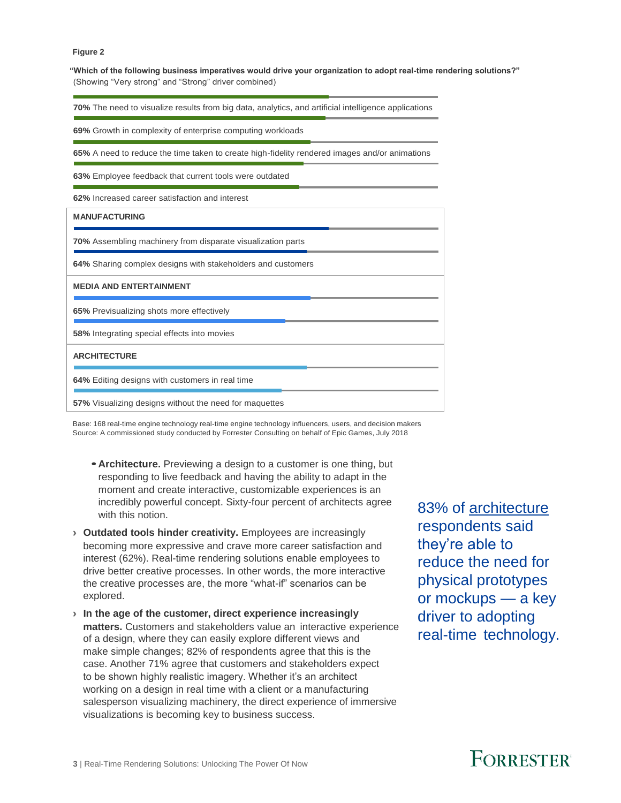#### **Figure 2**

**"Which of the following business imperatives would drive your organization to adopt real-time rendering solutions?"** (Showing "Very strong" and "Strong" driver combined)

**70%** The need to visualize results from big data, analytics, and artificial intelligence applications

**69%** Growth in complexity of enterprise computing workloads

**65%** A need to reduce the time taken to create high-fidelity rendered images and/or animations

**63%** Employee feedback that current tools were outdated

**62%** Increased career satisfaction and interest

| <b>MANUFACTURING</b>                                        |
|-------------------------------------------------------------|
| 70% Assembling machinery from disparate visualization parts |
| 64% Sharing complex designs with stakeholders and customers |
| <b>MEDIA AND ENTERTAINMENT</b>                              |
| 65% Previsualizing shots more effectively                   |
| 58% Integrating special effects into movies                 |
| <b>ARCHITECTURE</b>                                         |
| 64% Editing designs with customers in real time             |
| 57% Visualizing designs without the need for maquettes      |

Base: 168 real-time engine technology real-time engine technology influencers, users, and decision makers Source: A commissioned study conducted by Forrester Consulting on behalf of Epic Games, July 2018

- **• Architecture.** Previewing a design to a customer is one thing, but responding to live feedback and having the ability to adapt in the moment and create interactive, customizable experiences is an incredibly powerful concept. Sixty-four percent of architects agree with this notion.
- › **Outdated tools hinder creativity.** Employees are increasingly becoming more expressive and crave more career satisfaction and interest (62%). Real-time rendering solutions enable employees to drive better creative processes. In other words, the more interactive the creative processes are, the more "what-if" scenarios can be explored.
- › **In the age of the customer, direct experience increasingly matters.** Customers and stakeholders value an interactive experience of a design, where they can easily explore different views and make simple changes; 82% of respondents agree that this is the case. Another 71% agree that customers and stakeholders expect to be shown highly realistic imagery. Whether it's an architect working on a design in real time with a client or a manufacturing salesperson visualizing machinery, the direct experience of immersive visualizations is becoming key to business success.

83% of architecture respondents said they're able to reduce the need for physical prototypes or mockups — a key driver to adopting real-time technology.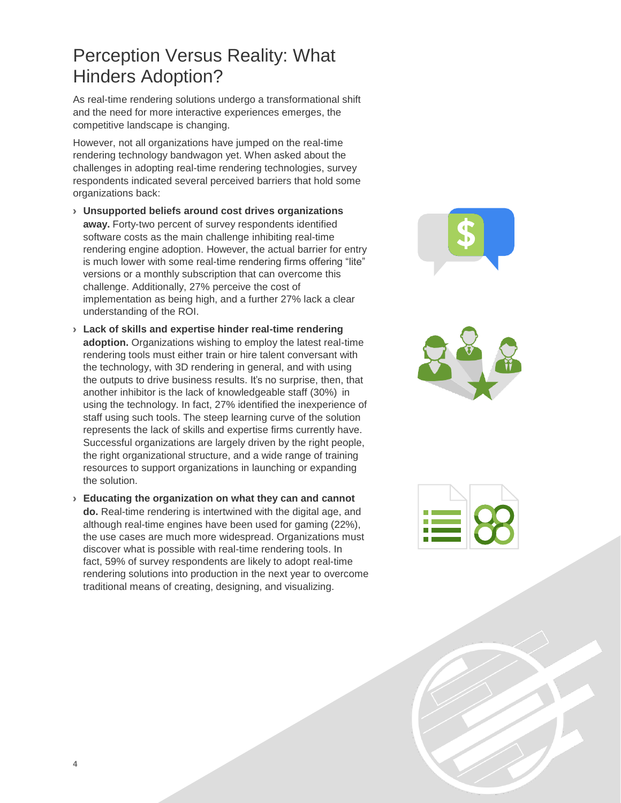### Perception Versus Reality: What Hinders Adoption?

As real-time rendering solutions undergo a transformational shift and the need for more interactive experiences emerges, the competitive landscape is changing.

However, not all organizations have jumped on the real-time rendering technology bandwagon yet. When asked about the challenges in adopting real-time rendering technologies, survey respondents indicated several perceived barriers that hold some organizations back:

- › **Unsupported beliefs around cost drives organizations away.** Forty-two percent of survey respondents identified software costs as the main challenge inhibiting real-time rendering engine adoption. However, the actual barrier for entry is much lower with some real-time rendering firms offering "lite" versions or a monthly subscription that can overcome this challenge. Additionally, 27% perceive the cost of implementation as being high, and a further 27% lack a clear understanding of the ROI.
- › **Lack of skills and expertise hinder real-time rendering adoption.** Organizations wishing to employ the latest real-time rendering tools must either train or hire talent conversant with the technology, with 3D rendering in general, and with using the outputs to drive business results. It's no surprise, then, that another inhibitor is the lack of knowledgeable staff (30%) in using the technology. In fact, 27% identified the inexperience of staff using such tools. The steep learning curve of the solution represents the lack of skills and expertise firms currently have. Successful organizations are largely driven by the right people, the right organizational structure, and a wide range of training resources to support organizations in launching or expanding the solution.
- › **Educating the organization on what they can and cannot do.** Real-time rendering is intertwined with the digital age, and although real-time engines have been used for gaming (22%), the use cases are much more widespread. Organizations must discover what is possible with real-time rendering tools. In fact, 59% of survey respondents are likely to adopt real-time rendering solutions into production in the next year to overcome traditional means of creating, designing, and visualizing.





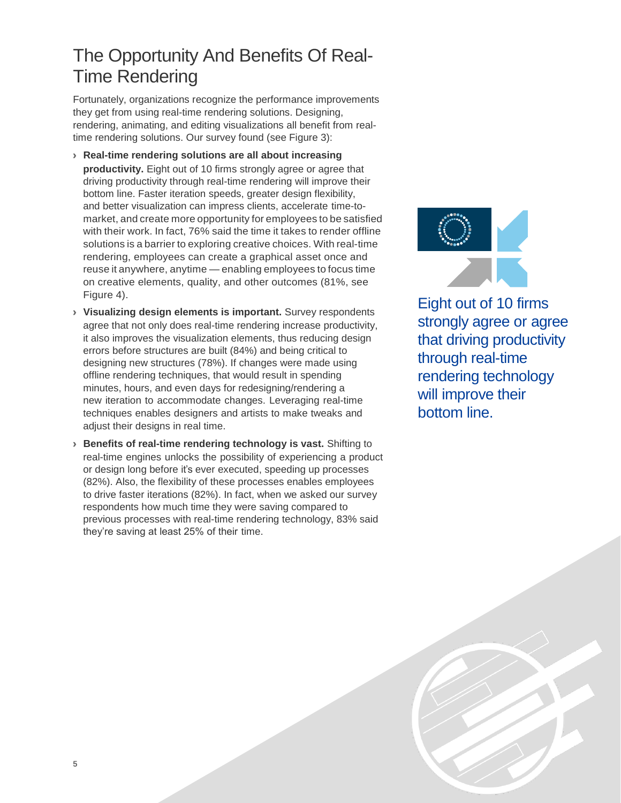### The Opportunity And Benefits Of Real-Time Rendering

Fortunately, organizations recognize the performance improvements they get from using real-time rendering solutions. Designing, rendering, animating, and editing visualizations all benefit from realtime rendering solutions. Our survey found (see Figure 3):

- › **Real-time rendering solutions are all about increasing productivity.** Eight out of 10 firms strongly agree or agree that driving productivity through real-time rendering will improve their bottom line. Faster iteration speeds, greater design flexibility, and better visualization can impress clients, accelerate time-tomarket, and create more opportunity for employees to be satisfied with their work. In fact, 76% said the time it takes to render offline solutions is a barrier to exploring creative choices. With real-time rendering, employees can create a graphical asset once and reuse it anywhere, anytime — enabling employees to focus time on creative elements, quality, and other outcomes (81%, see Figure 4).
- › **Visualizing design elements is important.** Survey respondents agree that not only does real-time rendering increase productivity, it also improves the visualization elements, thus reducing design errors before structures are built (84%) and being critical to designing new structures (78%). If changes were made using offline rendering techniques, that would result in spending minutes, hours, and even days for redesigning/rendering a new iteration to accommodate changes. Leveraging real-time techniques enables designers and artists to make tweaks and adjust their designs in real time.
- › **Benefits of real-time rendering technology is vast.** Shifting to real-time engines unlocks the possibility of experiencing a product or design long before it's ever executed, speeding up processes (82%). Also, the flexibility of these processes enables employees to drive faster iterations (82%). In fact, when we asked our survey respondents how much time they were saving compared to previous processes with real-time rendering technology, 83% said they're saving at least 25% of their time.



Eight out of 10 firms strongly agree or agree that driving productivity through real-time rendering technology will improve their bottom line.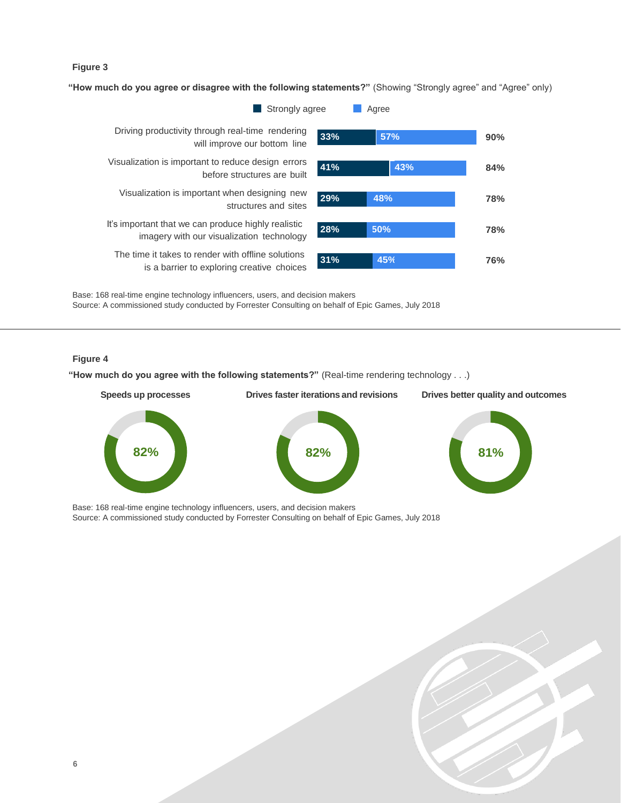#### **Figure 3**

**"How much do you agree or disagree with the following statements?"** (Showing "Strongly agree" and "Agree" only)



Base: 168 real-time engine technology influencers, users, and decision makers Source: A commissioned study conducted by Forrester Consulting on behalf of Epic Games, July 2018

#### **Figure 4**

**"How much do you agree with the following statements?"** (Real-time rendering technology . . .)



Base: 168 real-time engine technology influencers, users, and decision makers Source: A commissioned study conducted by Forrester Consulting on behalf of Epic Games, July 2018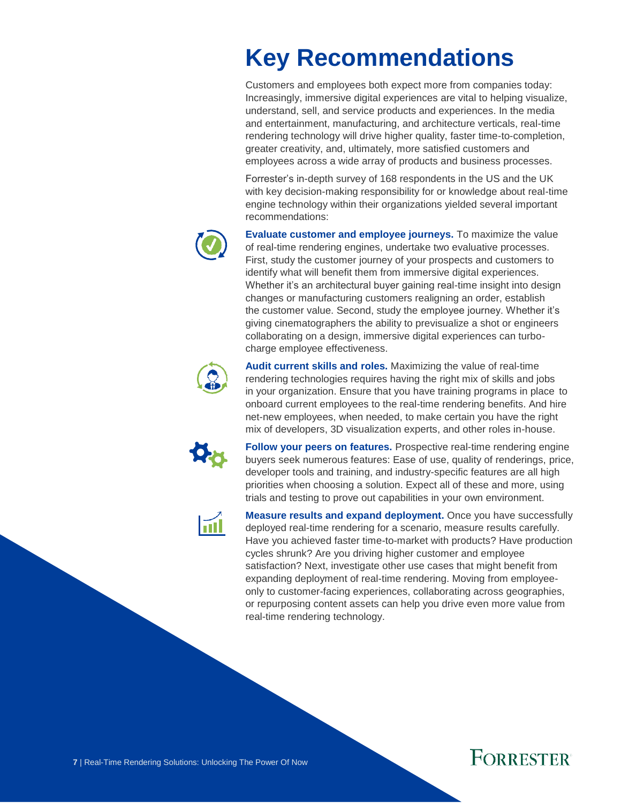## **Key Recommendations**

Customers and employees both expect more from companies today: Increasingly, immersive digital experiences are vital to helping visualize, understand, sell, and service products and experiences. In the media and entertainment, manufacturing, and architecture verticals, real-time rendering technology will drive higher quality, faster time-to-completion, greater creativity, and, ultimately, more satisfied customers and employees across a wide array of products and business processes.

Forrester's in-depth survey of 168 respondents in the US and the UK with key decision-making responsibility for or knowledge about real-time engine technology within their organizations yielded several important recommendations:



**Evaluate customer and employee journeys.** To maximize the value of real-time rendering engines, undertake two evaluative processes. First, study the customer journey of your prospects and customers to identify what will benefit them from immersive digital experiences. Whether it's an architectural buyer gaining real-time insight into design changes or manufacturing customers realigning an order, establish the customer value. Second, study the employee journey. Whether it's giving cinematographers the ability to previsualize a shot or engineers collaborating on a design, immersive digital experiences can turbocharge employee effectiveness.



**Audit current skills and roles.** Maximizing the value of real-time rendering technologies requires having the right mix of skills and jobs in your organization. Ensure that you have training programs in place to onboard current employees to the real-time rendering benefits. And hire net-new employees, when needed, to make certain you have the right mix of developers, 3D visualization experts, and other roles in-house.



**Follow your peers on features.** Prospective real-time rendering engine buyers seek numerous features: Ease of use, quality of renderings, price, developer tools and training, and industry-specific features are all high priorities when choosing a solution. Expect all of these and more, using trials and testing to prove out capabilities in your own environment.



**Measure results and expand deployment.** Once you have successfully deployed real-time rendering for a scenario, measure results carefully. Have you achieved faster time-to-market with products? Have production cycles shrunk? Are you driving higher customer and employee satisfaction? Next, investigate other use cases that might benefit from expanding deployment of real-time rendering. Moving from employeeonly to customer-facing experiences, collaborating across geographies, or repurposing content assets can help you drive even more value from real-time rendering technology.

## **FORRESTER**

**7** | Real-Time Rendering Solutions: Unlocking The Power Of Now